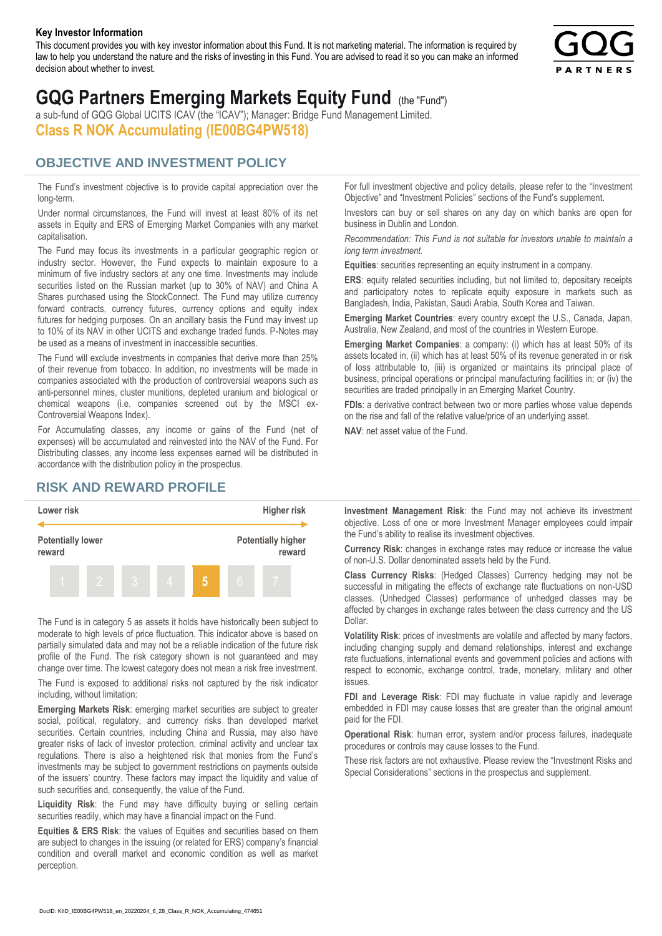#### **Key Investor Information**

This document provides you with key investor information about this Fund. It is not marketing material. The information is required by law to help you understand the nature and the risks of investing in this Fund. You are advised to read it so you can make an informed decision about whether to invest.



# **GQG Partners Emerging Markets Equity Fund** (the "Fund")

a sub-fund of GQG Global UCITS ICAV (the "ICAV"); Manager: Bridge Fund Management Limited. **Class R NOK Accumulating (IE00BG4PW518)**

#### **OBJECTIVE AND INVESTMENT POLICY**

The Fund's investment objective is to provide capital appreciation over the long-term.

Under normal circumstances, the Fund will invest at least 80% of its net assets in Equity and ERS of Emerging Market Companies with any market capitalisation.

The Fund may focus its investments in a particular geographic region or industry sector. However, the Fund expects to maintain exposure to a minimum of five industry sectors at any one time. Investments may include securities listed on the Russian market (up to 30% of NAV) and China A Shares purchased using the StockConnect. The Fund may utilize currency forward contracts, currency futures, currency options and equity index futures for hedging purposes. On an ancillary basis the Fund may invest up to 10% of its NAV in other UCITS and exchange traded funds. P-Notes may be used as a means of investment in inaccessible securities.

The Fund will exclude investments in companies that derive more than 25% of their revenue from tobacco. In addition, no investments will be made in companies associated with the production of controversial weapons such as anti-personnel mines, cluster munitions, depleted uranium and biological or chemical weapons (i.e. companies screened out by the MSCI ex-Controversial Weapons Index).

For Accumulating classes, any income or gains of the Fund (net of expenses) will be accumulated and reinvested into the NAV of the Fund. For Distributing classes, any income less expenses earned will be distributed in accordance with the distribution policy in the prospectus.

### **RISK AND REWARD PROFILE**



The Fund is in category 5 as assets it holds have historically been subject to moderate to high levels of price fluctuation. This indicator above is based on partially simulated data and may not be a reliable indication of the future risk profile of the Fund. The risk category shown is not guaranteed and may change over time. The lowest category does not mean a risk free investment.

The Fund is exposed to additional risks not captured by the risk indicator including, without limitation:

**Emerging Markets Risk**: emerging market securities are subject to greater social, political, regulatory, and currency risks than developed market securities. Certain countries, including China and Russia, may also have greater risks of lack of investor protection, criminal activity and unclear tax regulations. There is also a heightened risk that monies from the Fund's investments may be subject to government restrictions on payments outside of the issuers' country. These factors may impact the liquidity and value of such securities and, consequently, the value of the Fund.

**Liquidity Risk**: the Fund may have difficulty buying or selling certain securities readily, which may have a financial impact on the Fund.

**Equities & ERS Risk**: the values of Equities and securities based on them are subject to changes in the issuing (or related for ERS) company's financial condition and overall market and economic condition as well as market perception.

For full investment objective and policy details, please refer to the "Investment Objective" and "Investment Policies" sections of the Fund's supplement.

Investors can buy or sell shares on any day on which banks are open for business in Dublin and London.

*Recommendation: This Fund is not suitable for investors unable to maintain a long term investment.*

**Equities**: securities representing an equity instrument in a company.

**ERS:** equity related securities including, but not limited to, depositary receipts and participatory notes to replicate equity exposure in markets such as Bangladesh, India, Pakistan, Saudi Arabia, South Korea and Taiwan.

**Emerging Market Countries**: every country except the U.S., Canada, Japan, Australia, New Zealand, and most of the countries in Western Europe.

**Emerging Market Companies**: a company: (i) which has at least 50% of its assets located in, (ii) which has at least 50% of its revenue generated in or risk of loss attributable to, (iii) is organized or maintains its principal place of business, principal operations or principal manufacturing facilities in; or (iv) the securities are traded principally in an Emerging Market Country.

**FDIs**: a derivative contract between two or more parties whose value depends on the rise and fall of the relative value/price of an underlying asset.

**NAV**: net asset value of the Fund.

**Investment Management Risk**: the Fund may not achieve its investment objective. Loss of one or more Investment Manager employees could impair the Fund's ability to realise its investment objectives.

**Currency Risk**: changes in exchange rates may reduce or increase the value of non-U.S. Dollar denominated assets held by the Fund.

**Class Currency Risks**: (Hedged Classes) Currency hedging may not be successful in mitigating the effects of exchange rate fluctuations on non-USD classes. (Unhedged Classes) performance of unhedged classes may be affected by changes in exchange rates between the class currency and the US Dollar.

**Volatility Risk**: prices of investments are volatile and affected by many factors, including changing supply and demand relationships, interest and exchange rate fluctuations, international events and government policies and actions with respect to economic, exchange control, trade, monetary, military and other issues.

**FDI and Leverage Risk**: FDI may fluctuate in value rapidly and leverage embedded in FDI may cause losses that are greater than the original amount paid for the FDI.

**Operational Risk**: human error, system and/or process failures, inadequate procedures or controls may cause losses to the Fund.

These risk factors are not exhaustive. Please review the "Investment Risks and Special Considerations" sections in the prospectus and supplement.